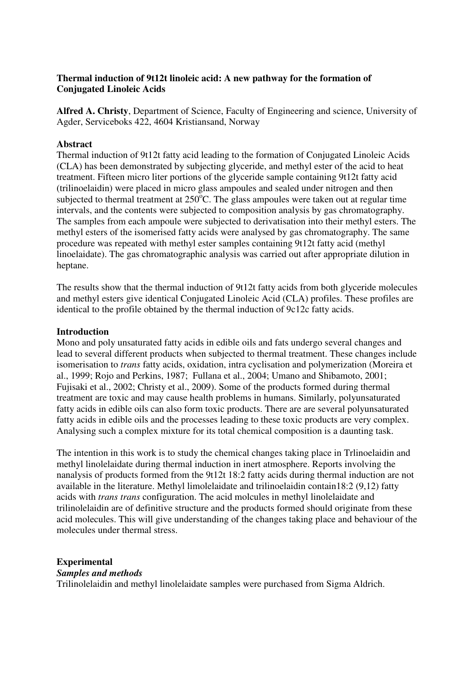## **Thermal induction of 9t12t linoleic acid: A new pathway for the formation of Conjugated Linoleic Acids**

**Alfred A. Christy**, Department of Science, Faculty of Engineering and science, University of Agder, Serviceboks 422, 4604 Kristiansand, Norway

### **Abstract**

Thermal induction of 9t12t fatty acid leading to the formation of Conjugated Linoleic Acids (CLA) has been demonstrated by subjecting glyceride, and methyl ester of the acid to heat treatment. Fifteen micro liter portions of the glyceride sample containing 9t12t fatty acid (trilinoelaidin) were placed in micro glass ampoules and sealed under nitrogen and then subjected to thermal treatment at  $250^{\circ}$ C. The glass ampoules were taken out at regular time intervals, and the contents were subjected to composition analysis by gas chromatography. The samples from each ampoule were subjected to derivatisation into their methyl esters. The methyl esters of the isomerised fatty acids were analysed by gas chromatography. The same procedure was repeated with methyl ester samples containing 9t12t fatty acid (methyl linoelaidate). The gas chromatographic analysis was carried out after appropriate dilution in heptane.

The results show that the thermal induction of 9t12t fatty acids from both glyceride molecules and methyl esters give identical Conjugated Linoleic Acid (CLA) profiles. These profiles are identical to the profile obtained by the thermal induction of 9c12c fatty acids.

## **Introduction**

Mono and poly unsaturated fatty acids in edible oils and fats undergo several changes and lead to several different products when subjected to thermal treatment. These changes include isomerisation to *trans* fatty acids, oxidation, intra cyclisation and polymerization (Moreira et al., 1999; Rojo and Perkins, 1987; Fullana et al., 2004; Umano and Shibamoto, 2001; Fujisaki et al., 2002; Christy et al., 2009). Some of the products formed during thermal treatment are toxic and may cause health problems in humans. Similarly, polyunsaturated fatty acids in edible oils can also form toxic products. There are are several polyunsaturated fatty acids in edible oils and the processes leading to these toxic products are very complex. Analysing such a complex mixture for its total chemical composition is a daunting task.

The intention in this work is to study the chemical changes taking place in Trlinoelaidin and methyl linolelaidate during thermal induction in inert atmosphere. Reports involving the nanalysis of products formed from the 9t12t 18:2 fatty acids during thermal induction are not available in the literature. Methyl limolelaidate and trilinoelaidin contain18:2 (9,12) fatty acids with *trans trans* configuration. The acid molcules in methyl linolelaidate and trilinolelaidin are of definitive structure and the products formed should originate from these acid molecules. This will give understanding of the changes taking place and behaviour of the molecules under thermal stress.

# **Experimental**

## *Samples and methods*

Trilinolelaidin and methyl linolelaidate samples were purchased from Sigma Aldrich.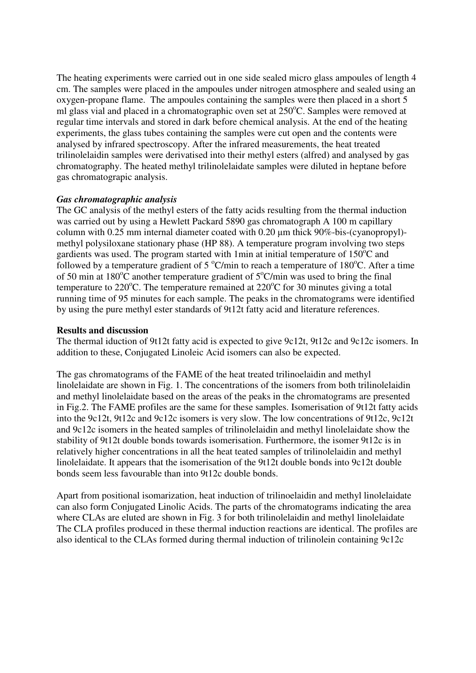The heating experiments were carried out in one side sealed micro glass ampoules of length 4 cm. The samples were placed in the ampoules under nitrogen atmosphere and sealed using an oxygen-propane flame. The ampoules containing the samples were then placed in a short 5 ml glass vial and placed in a chromatographic oven set at  $250^{\circ}$ C. Samples were removed at regular time intervals and stored in dark before chemical analysis. At the end of the heating experiments, the glass tubes containing the samples were cut open and the contents were analysed by infrared spectroscopy. After the infrared measurements, the heat treated trilinolelaidin samples were derivatised into their methyl esters (alfred) and analysed by gas chromatography. The heated methyl trilinolelaidate samples were diluted in heptane before gas chromatograpic analysis.

#### *Gas chromatographic analysis*

The GC analysis of the methyl esters of the fatty acids resulting from the thermal induction was carried out by using a Hewlett Packard 5890 gas chromatograph A 100 m capillary column with 0.25 mm internal diameter coated with 0.20 µm thick 90%-bis-(cyanopropyl) methyl polysiloxane stationary phase (HP 88). A temperature program involving two steps gardients was used. The program started with 1min at initial temperature of  $150^{\circ}$ C and followed by a temperature gradient of  $5^{\circ}$ C/min to reach a temperature of 180 $^{\circ}$ C. After a time of 50 min at  $180^{\circ}$ C another temperature gradient of  $5^{\circ}$ C/min was used to bring the final temperature to  $220^{\circ}$ C. The temperature remained at  $220^{\circ}$ C for 30 minutes giving a total running time of 95 minutes for each sample. The peaks in the chromatograms were identified by using the pure methyl ester standards of 9t12t fatty acid and literature references.

#### **Results and discussion**

The thermal iduction of 9t12t fatty acid is expected to give 9c12t, 9t12c and 9c12c isomers. In addition to these, Conjugated Linoleic Acid isomers can also be expected.

The gas chromatograms of the FAME of the heat treated trilinoelaidin and methyl linolelaidate are shown in Fig. 1. The concentrations of the isomers from both trilinolelaidin and methyl linolelaidate based on the areas of the peaks in the chromatograms are presented in Fig.2. The FAME profiles are the same for these samples. Isomerisation of 9t12t fatty acids into the 9c12t, 9t12c and 9c12c isomers is very slow. The low concentrations of 9t12c, 9c12t and 9c12c isomers in the heated samples of trilinolelaidin and methyl linolelaidate show the stability of 9t12t double bonds towards isomerisation. Furthermore, the isomer 9t12c is in relatively higher concentrations in all the heat teated samples of trilinolelaidin and methyl linolelaidate. It appears that the isomerisation of the 9t12t double bonds into 9c12t double bonds seem less favourable than into 9t12c double bonds.

Apart from positional isomarization, heat induction of trilinoelaidin and methyl linolelaidate can also form Conjugated Linolic Acids. The parts of the chromatograms indicating the area where CLAs are eluted are shown in Fig. 3 for both trilinolelaidin and methyl linolelaidate The CLA profiles produced in these thermal induction reactions are identical. The profiles are also identical to the CLAs formed during thermal induction of trilinolein containing 9c12c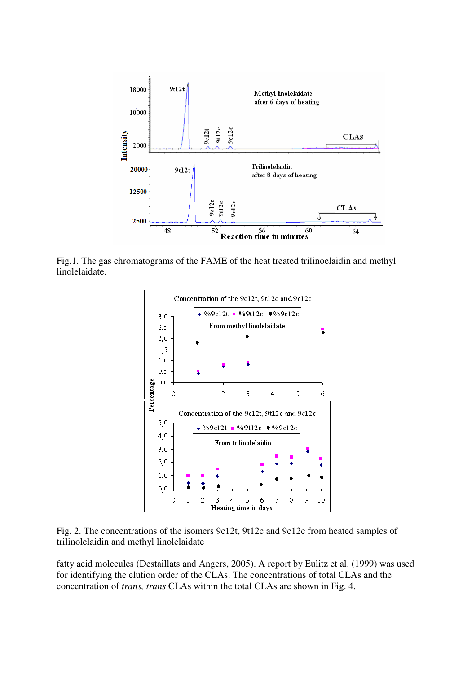

Fig.1. The gas chromatograms of the FAME of the heat treated trilinoelaidin and methyl linolelaidate.



Fig. 2. The concentrations of the isomers 9c12t, 9t12c and 9c12c from heated samples of trilinolelaidin and methyl linolelaidate

fatty acid molecules (Destaillats and Angers, 2005). A report by Eulitz et al. (1999) was used for identifying the elution order of the CLAs. The concentrations of total CLAs and the concentration of *trans, trans* CLAs within the total CLAs are shown in Fig. 4.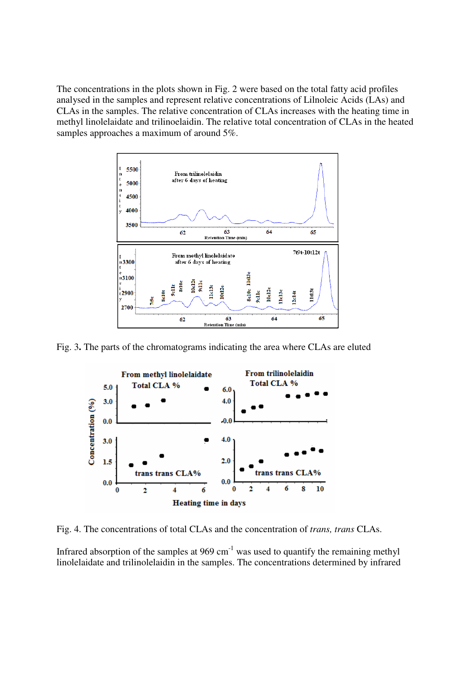The concentrations in the plots shown in Fig. 2 were based on the total fatty acid profiles analysed in the samples and represent relative concentrations of Lilnoleic Acids (LAs) and CLAs in the samples. The relative concentration of CLAs increases with the heating time in methyl linolelaidate and trilinoelaidin. The relative total concentration of CLAs in the heated samples approaches a maximum of around 5%.



Fig. 3**.** The parts of the chromatograms indicating the area where CLAs are eluted



Fig. 4. The concentrations of total CLAs and the concentration of *trans, trans* CLAs.

Infrared absorption of the samples at  $969 \text{ cm}^{-1}$  was used to quantify the remaining methyl linolelaidate and trilinolelaidin in the samples. The concentrations determined by infrared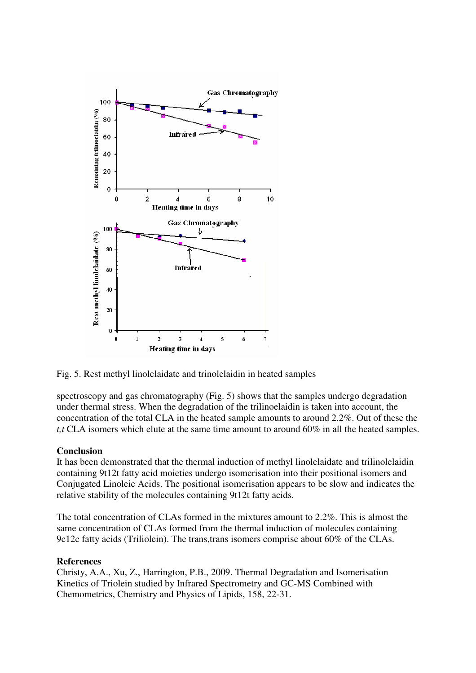

Fig. 5. Rest methyl linolelaidate and trinolelaidin in heated samples

spectroscopy and gas chromatography (Fig. 5) shows that the samples undergo degradation under thermal stress. When the degradation of the trilinoelaidin is taken into account, the concentration of the total CLA in the heated sample amounts to around 2.2%. Out of these the *t,t* CLA isomers which elute at the same time amount to around 60% in all the heated samples.

#### **Conclusion**

It has been demonstrated that the thermal induction of methyl linolelaidate and trilinolelaidin containing 9t12t fatty acid moieties undergo isomerisation into their positional isomers and Conjugated Linoleic Acids. The positional isomerisation appears to be slow and indicates the relative stability of the molecules containing 9t12t fatty acids.

The total concentration of CLAs formed in the mixtures amount to 2.2%. This is almost the same concentration of CLAs formed from the thermal induction of molecules containing 9c12c fatty acids (Triliolein). The trans,trans isomers comprise about 60% of the CLAs.

#### **References**

Christy, A.A., Xu, Z., Harrington, P.B., 2009. Thermal Degradation and Isomerisation Kinetics of Triolein studied by Infrared Spectrometry and GC-MS Combined with Chemometrics, Chemistry and Physics of Lipids, 158, 22-31.